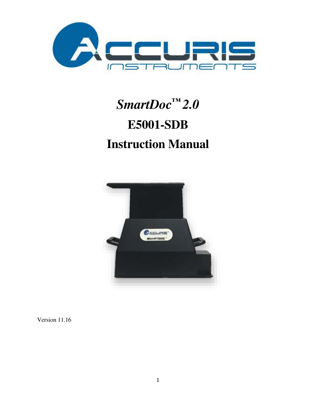

# *SmartDoc™ 2.0*  **E5001-SDB Instruction Manual**



Version 11.16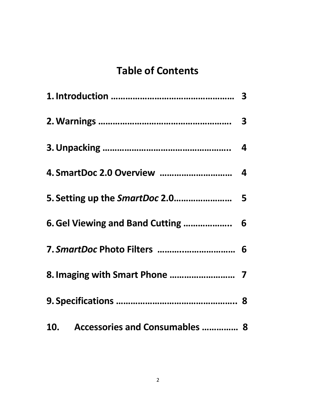# **Table of Contents**

| 6. Gel Viewing and Band Cutting  6 |  |
|------------------------------------|--|
| 7. SmartDoc Photo Filters  6       |  |
|                                    |  |
|                                    |  |
| 10. Accessories and Consumables  8 |  |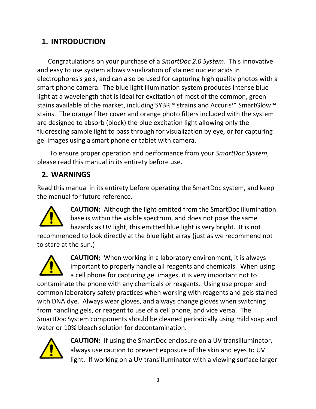### **1. INTRODUCTION**

Congratulations on your purchase of a *SmartDoc 2.0 System*. This innovative and easy to use system allows visualization of stained nucleic acids in electrophoresis gels, and can also be used for capturing high quality photos with a smart phone camera. The blue light illumination system produces intense blue light at a wavelength that is ideal for excitation of most of the common, green stains available of the market, including SYBR™ strains and Accuris™ SmartGlow™ stains. The orange filter cover and orange photo filters included with the system are designed to absorb (block) the blue excitation light allowing only the fluorescing sample light to pass through for visualization by eye, or for capturing gel images using a smart phone or tablet with camera.

 To ensure proper operation and performance from your *SmartDoc System*, please read this manual in its entirety before use.

# **2. WARNINGS**

Read this manual in its entirety before operating the SmartDoc system, and keep the manual for future reference**.** 



**CAUTION:** Although the light emitted from the SmartDoc illumination base is within the visible spectrum, and does not pose the same hazards as UV light, this emitted blue light is very bright. It is not

recommended to look directly at the blue light array (just as we recommend not to stare at the sun.)



**CAUTION:** When working in a laboratory environment, it is always important to properly handle all reagents and chemicals. When using a cell phone for capturing gel images, it is very important not to contaminate the phone with any chemicals or reagents. Using use proper and common laboratory safety practices when working with reagents and gels stained with DNA dye. Always wear gloves, and always change gloves when switching from handling gels, or reagent to use of a cell phone, and vice versa. The SmartDoc System components should be cleaned periodically using mild soap and water or 10% bleach solution for decontamination.



**CAUTION:** If using the SmartDoc enclosure on a UV transilluminator, always use caution to prevent exposure of the skin and eyes to UV light. If working on a UV transilluminator with a viewing surface larger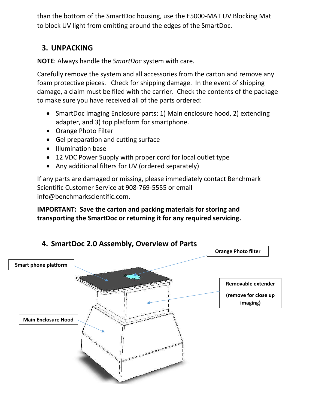than the bottom of the SmartDoc housing, use the E5000-MAT UV Blocking Mat to block UV light from emitting around the edges of the SmartDoc.

#### **3. UNPACKING**

**NOTE**: Always handle the *SmartDoc* system with care.

Carefully remove the system and all accessories from the carton and remove any foam protective pieces. Check for shipping damage. In the event of shipping damage, a claim must be filed with the carrier. Check the contents of the package to make sure you have received all of the parts ordered:

- SmartDoc Imaging Enclosure parts: 1) Main enclosure hood, 2) extending adapter, and 3) top platform for smartphone.
- Orange Photo Filter
- Gel preparation and cutting surface
- Illumination base
- 12 VDC Power Supply with proper cord for local outlet type
- Any additional filters for UV (ordered separately)

If any parts are damaged or missing, please immediately contact Benchmark Scientific Customer Service at 908-769-5555 or email info@benchmarkscientific.com.

#### **IMPORTANT: Save the carton and packing materials for storing and transporting the SmartDoc or returning it for any required servicing.**

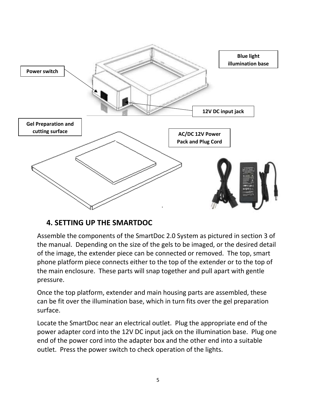

#### **4. SETTING UP THE SMARTDOC**

Assemble the components of the SmartDoc 2.0 System as pictured in section 3 of the manual. Depending on the size of the gels to be imaged, or the desired detail of the image, the extender piece can be connected or removed. The top, smart phone platform piece connects either to the top of the extender or to the top of the main enclosure. These parts will snap together and pull apart with gentle pressure.

Once the top platform, extender and main housing parts are assembled, these can be fit over the illumination base, which in turn fits over the gel preparation surface.

Locate the SmartDoc near an electrical outlet. Plug the appropriate end of the power adapter cord into the 12V DC input jack on the illumination base. Plug one end of the power cord into the adapter box and the other end into a suitable outlet. Press the power switch to check operation of the lights.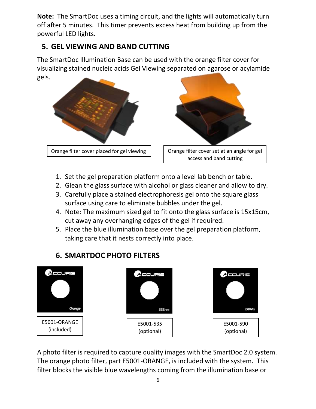**Note:** The SmartDoc uses a timing circuit, and the lights will automatically turn off after 5 minutes. This timer prevents excess heat from building up from the powerful LED lights.

## **5. GEL VIEWING AND BAND CUTTING**

The SmartDoc Illumination Base can be used with the orange filter cover for visualizing stained nucleic acids Gel Viewing separated on agarose or acylamide gels.



- 1. Set the gel preparation platform onto a level lab bench or table.
- 2. Glean the glass surface with alcohol or glass cleaner and allow to dry.
- 3. Carefully place a stained electrophoresis gel onto the square glass surface using care to eliminate bubbles under the gel.
- 4. Note: The maximum sized gel to fit onto the glass surface is 15x15cm, cut away any overhanging edges of the gel if required.
- 5. Place the blue illumination base over the gel preparation platform, taking care that it nests correctly into place.

# **6. SMARTDOC PHOTO FILTERS**



A photo filter is required to capture quality images with the SmartDoc 2.0 system. The orange photo filter, part E5001-ORANGE, is included with the system. This filter blocks the visible blue wavelengths coming from the illumination base or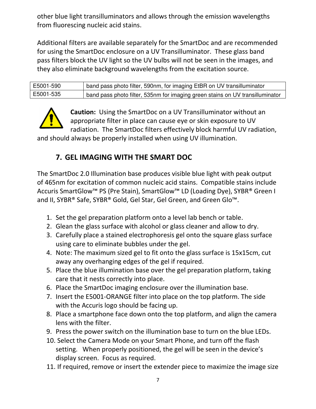other blue light transilluminators and allows through the emission wavelengths from fluorescing nucleic acid stains.

Additional filters are available separately for the SmartDoc and are recommended for using the SmartDoc enclosure on a UV Transilluminator. These glass band pass filters block the UV light so the UV bulbs will not be seen in the images, and they also eliminate background wavelengths from the excitation source.

| E5001-590 | band pass photo filter, 590nm, for imaging EtBR on UV transilluminator        |
|-----------|-------------------------------------------------------------------------------|
| E5001-535 | band pass photo filter, 535nm for imaging green stains on UV transilluminator |



**Caution:** Using the SmartDoc on a UV Transilluminator without an appropriate filter in place can cause eye or skin exposure to UV radiation. The SmartDoc filters effectively block harmful UV radiation,

and should always be properly installed when using UV illumination.

#### **7. GEL IMAGING WITH THE SMART DOC**

The SmartDoc 2.0 Illumination base produces visible blue light with peak output of 465nm for excitation of common nucleic acid stains. Compatible stains include Accuris SmartGlow™ PS (Pre Stain), SmartGlow™ LD (Loading Dye), SYBR® Green I and II, SYBR® Safe, SYBR® Gold, Gel Star, Gel Green, and Green Glo™.

- 1. Set the gel preparation platform onto a level lab bench or table.
- 2. Glean the glass surface with alcohol or glass cleaner and allow to dry.
- 3. Carefully place a stained electrophoresis gel onto the square glass surface using care to eliminate bubbles under the gel.
- 4. Note: The maximum sized gel to fit onto the glass surface is 15x15cm, cut away any overhanging edges of the gel if required.
- 5. Place the blue illumination base over the gel preparation platform, taking care that it nests correctly into place.
- 6. Place the SmartDoc imaging enclosure over the illumination base.
- 7. Insert the E5001-ORANGE filter into place on the top platform. The side with the Accuris logo should be facing up.
- 8. Place a smartphone face down onto the top platform, and align the camera lens with the filter.
- 9. Press the power switch on the illumination base to turn on the blue LEDs.
- 10. Select the Camera Mode on your Smart Phone, and turn off the flash setting. When properly positioned, the gel will be seen in the device's display screen. Focus as required.
- 11. If required, remove or insert the extender piece to maximize the image size